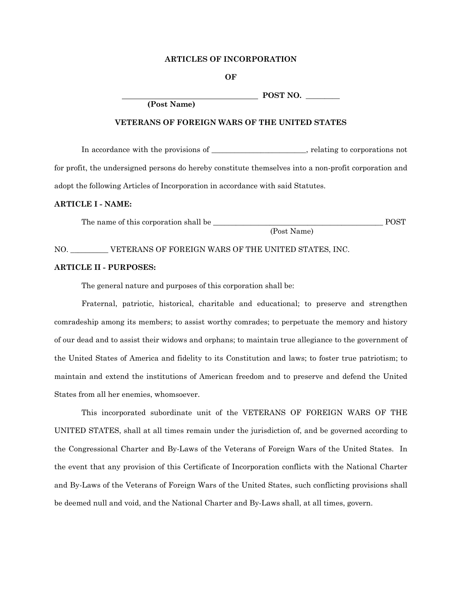### **ARTICLES OF INCORPORATION**

**OF** 

**POST NO.** \_\_\_\_\_\_\_\_\_

**VETERANS OF FOREIGN WARS OF THE UNITED STATES** 

 **(Post Name)** 

In accordance with the provisions of \_\_\_\_\_\_\_\_\_\_\_\_\_\_\_\_\_\_\_\_\_\_\_\_\_, relating to corporations not for profit, the undersigned persons do hereby constitute themselves into a non-profit corporation and adopt the following Articles of Incorporation in accordance with said Statutes.

#### **ARTICLE I - NAME:**

 The name of this corporation shall be \_\_\_\_\_\_\_\_\_\_\_\_\_\_\_\_\_\_\_\_\_\_\_\_\_\_\_\_\_\_\_\_\_\_\_\_\_\_\_\_\_\_\_\_\_ POST (Post Name)

## NO. WETERANS OF FOREIGN WARS OF THE UNITED STATES, INC.

### **ARTICLE II - PURPOSES:**

The general nature and purposes of this corporation shall be:

 Fraternal, patriotic, historical, charitable and educational; to preserve and strengthen comradeship among its members; to assist worthy comrades; to perpetuate the memory and history of our dead and to assist their widows and orphans; to maintain true allegiance to the government of the United States of America and fidelity to its Constitution and laws; to foster true patriotism; to maintain and extend the institutions of American freedom and to preserve and defend the United States from all her enemies, whomsoever.

 This incorporated subordinate unit of the VETERANS OF FOREIGN WARS OF THE UNITED STATES, shall at all times remain under the jurisdiction of, and be governed according to the Congressional Charter and By-Laws of the Veterans of Foreign Wars of the United States. In the event that any provision of this Certificate of Incorporation conflicts with the National Charter and By-Laws of the Veterans of Foreign Wars of the United States, such conflicting provisions shall be deemed null and void, and the National Charter and By-Laws shall, at all times, govern.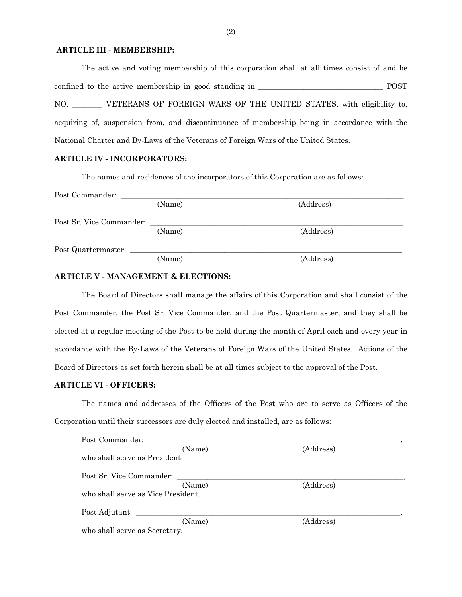## **ARTICLE III - MEMBERSHIP:**

The active and voting membership of this corporation shall at all times consist of and be confined to the active membership in good standing in \_\_\_\_\_\_\_\_\_\_\_\_\_\_\_\_\_\_\_\_\_\_\_\_\_\_\_\_\_\_\_\_\_ POST NO. \_\_\_\_\_\_\_\_ VETERANS OF FOREIGN WARS OF THE UNITED STATES, with eligibility to, acquiring of, suspension from, and discontinuance of membership being in accordance with the National Charter and By-Laws of the Veterans of Foreign Wars of the United States.

## **ARTICLE IV - INCORPORATORS:**

The names and residences of the incorporators of this Corporation are as follows:

| Post Commander:          |        |           |  |
|--------------------------|--------|-----------|--|
|                          | (Name) | (Address) |  |
| Post Sr. Vice Commander: |        |           |  |
|                          | (Name) | (Address) |  |
| Post Quartermaster:      |        |           |  |
|                          | (Name) | (Address) |  |

### **ARTICLE V - MANAGEMENT & ELECTIONS:**

 The Board of Directors shall manage the affairs of this Corporation and shall consist of the Post Commander, the Post Sr. Vice Commander, and the Post Quartermaster, and they shall be elected at a regular meeting of the Post to be held during the month of April each and every year in accordance with the By-Laws of the Veterans of Foreign Wars of the United States. Actions of the Board of Directors as set forth herein shall be at all times subject to the approval of the Post.

# **ARTICLE VI - OFFICERS:**

 The names and addresses of the Officers of the Post who are to serve as Officers of the Corporation until their successors are duly elected and installed, are as follows:

| (Name)                             | (Address) |
|------------------------------------|-----------|
| who shall serve as President.      |           |
| Post Sr. Vice Commander:           |           |
| (Name)                             | (Address) |
| who shall serve as Vice President. |           |
| Post Adjutant:                     |           |
| (Name)                             | (Address) |
| who shall serve as Secretary.      |           |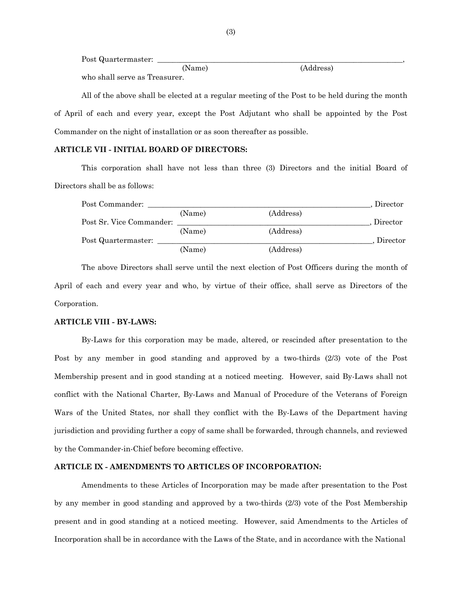Post Quartermaster:

|                               | (Name) | (Address) |
|-------------------------------|--------|-----------|
| who shall serve as Treasurer. |        |           |

 All of the above shall be elected at a regular meeting of the Post to be held during the month of April of each and every year, except the Post Adjutant who shall be appointed by the Post Commander on the night of installation or as soon thereafter as possible.

# **ARTICLE VII - INITIAL BOARD OF DIRECTORS:**

 This corporation shall have not less than three (3) Directors and the initial Board of Directors shall be as follows:

| Post Commander:          |        |           | Director |
|--------------------------|--------|-----------|----------|
|                          | (Name) | (Address) |          |
| Post Sr. Vice Commander: |        |           | Director |
|                          | (Name) | (Address) |          |
| Post Quartermaster:      |        |           | Director |
|                          | (Name) | (Address) |          |

 The above Directors shall serve until the next election of Post Officers during the month of April of each and every year and who, by virtue of their office, shall serve as Directors of the Corporation.

### **ARTICLE VIII - BY-LAWS:**

By-Laws for this corporation may be made, altered, or rescinded after presentation to the Post by any member in good standing and approved by a two-thirds (2/3) vote of the Post Membership present and in good standing at a noticed meeting. However, said By-Laws shall not conflict with the National Charter, By-Laws and Manual of Procedure of the Veterans of Foreign Wars of the United States, nor shall they conflict with the By-Laws of the Department having jurisdiction and providing further a copy of same shall be forwarded, through channels, and reviewed by the Commander-in-Chief before becoming effective.

## **ARTICLE IX - AMENDMENTS TO ARTICLES OF INCORPORATION:**

Amendments to these Articles of Incorporation may be made after presentation to the Post by any member in good standing and approved by a two-thirds (2/3) vote of the Post Membership present and in good standing at a noticed meeting. However, said Amendments to the Articles of Incorporation shall be in accordance with the Laws of the State, and in accordance with the National